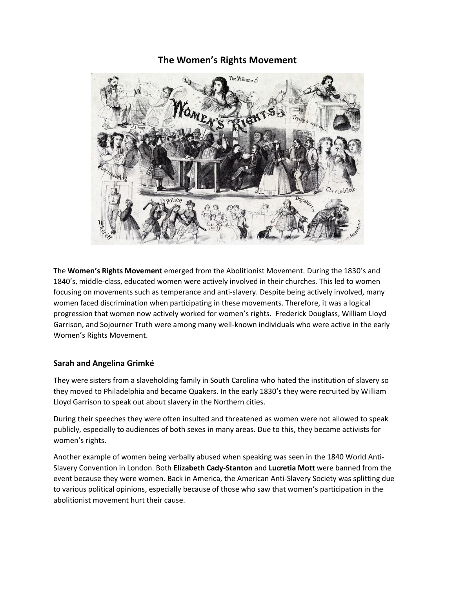### **The Women's Rights Movement**



The **Women's Rights Movement** emerged from the Abolitionist Movement. During the 1830's and 1840's, middle-class, educated women were actively involved in their churches. This led to women focusing on movements such as temperance and anti-slavery. Despite being actively involved, many women faced discrimination when participating in these movements. Therefore, it was a logical progression that women now actively worked for women's rights. Frederick Douglass, William Lloyd Garrison, and Sojourner Truth were among many well-known individuals who were active in the early Women's Rights Movement.

#### **Sarah and Angelina Grimké**

They were sisters from a slaveholding family in South Carolina who hated the institution of slavery so they moved to Philadelphia and became Quakers. In the early 1830's they were recruited by William Lloyd Garrison to speak out about slavery in the Northern cities.

During their speeches they were often insulted and threatened as women were not allowed to speak publicly, especially to audiences of both sexes in many areas. Due to this, they became activists for women's rights.

Another example of women being verbally abused when speaking was seen in the 1840 World Anti-Slavery Convention in London. Both **Elizabeth Cady-Stanton** and **Lucretia Mott** were banned from the event because they were women. Back in America, the American Anti-Slavery Society was splitting due to various political opinions, especially because of those who saw that women's participation in the abolitionist movement hurt their cause.